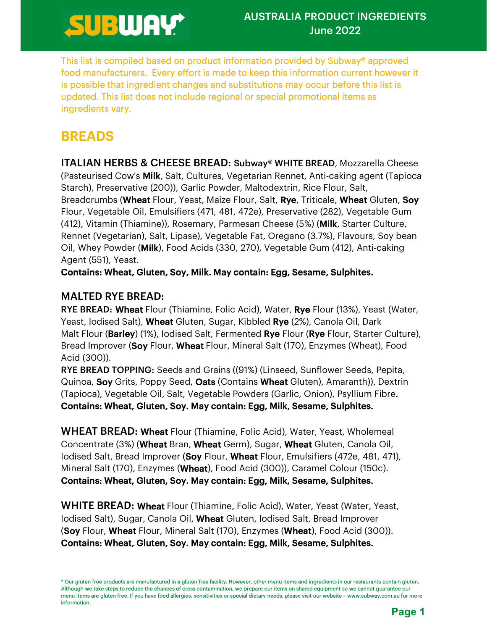This list is compiled based on product information provided by Subway® approved food manufacturers. Every effort is made to keep this information current however it is possible that ingredient changes and substitutions may occur before this list is updated. This list does not include regional or special promotional items as ingredients vary.

**BREADS**<br>ITALIAN HERBS & CHEESE BREAD: Subway® WHITE BREAD, Mozzarella Cheese (Pasteurised Cow's Milk, Salt, Cultures, Vegetarian Rennet, Anti-caking agent (Tapioca Starch), Preservative (200)), Garlic Powder, Maltodextrin, Rice Flour, Salt, Breadcrumbs (Wheat Flour, Yeast, Maize Flour, Salt, Rye, Triticale, Wheat Gluten, Soy Flour, Vegetable Oil, Emulsifiers (471, 481, 472e), Preservative (282), Vegetable Gum (412), Vitamin (Thiamine)), Rosemary, Parmesan Cheese (5%) (Milk, Starter Culture, Rennet (Vegetarian), Salt, Lipase), Vegetable Fat, Oregano (3.7%), Flavours, Soy bean Oil, Whey Powder (Milk), Food Acids (330, 270), Vegetable Gum (412), Anti-caking Agent (551), Yeast.

Contains: Wheat, Gluten, Soy, Milk. May contain: Egg, Sesame, Sulphites.

## MALTED RYE BREAD:

RYE BREAD: Wheat Flour (Thiamine, Folic Acid), Water, Rye Flour (13%), Yeast (Water, Yeast, Iodised Salt), Wheat Gluten, Sugar, Kibbled Rye (2%), Canola Oil, Dark Malt Flour (Barley) (1%), Iodised Salt, Fermented Rye Flour (Rye Flour, Starter Culture), Bread Improver (Soy Flour, Wheat Flour, Mineral Salt (170), Enzymes (Wheat), Food Acid (300)).

RYE BREAD TOPPING: Seeds and Grains ((91%) (Linseed, Sunflower Seeds, Pepita, Quinoa, Soy Grits, Poppy Seed, Oats (Contains Wheat Gluten), Amaranth)), Dextrin (Tapioca), Vegetable Oil, Salt, Vegetable Powders (Garlic, Onion), Psyllium Fibre. Contains: Wheat, Gluten, Soy. May contain: Egg, Milk, Sesame, Sulphites.

**WHEAT BREAD: Wheat Flour (Thiamine, Folic Acid), Water, Yeast, Wholemeal** Concentrate (3%) (Wheat Bran, Wheat Germ), Sugar, Wheat Gluten, Canola Oil, Iodised Salt, Bread Improver (Soy Flour, Wheat Flour, Emulsifiers (472e, 481, 471), Mineral Salt (170), Enzymes (Wheat), Food Acid (300)), Caramel Colour (150c).

**Contains: Wheat, Gluten, Soy. May contain: Egg, Milk, Sesame, Sulphites.**<br>WHITE BREAD: Wheat Flour (Thiamine, Folic Acid), Water, Yeast (Water, Yeast, Iodised Salt), Sugar, Canola Oil, Wheat Gluten, Iodised Salt, Bread Improver (Soy Flour, Wheat Flour, Mineral Salt (170), Enzymes (Wheat), Food Acid (300)). Contains: Wheat, Gluten, Soy. May contain: Egg, Milk, Sesame, Sulphites.

<sup>\*</sup> Our gluten free products are manufactured in a gluten free facility. However, other menu items and ingredients in our restaurants contain gluten. Although we take steps to reduce the chances of cross contamination, we prepare our items on shared equipment so we cannot guarantee our menu items are gluten free. If you have food allergies, sensitivities or special dietary needs, please visit our website – www.subway.com.au for more information.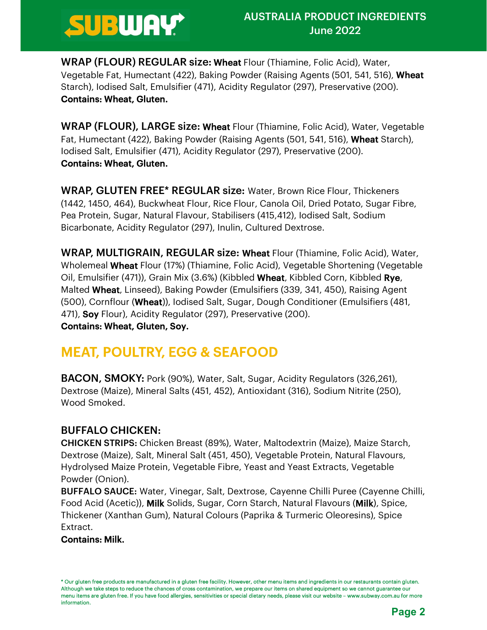

WRAP (FLOUR) REGULAR size: Wheat Flour (Thiamine, Folic Acid), Water, Vegetable Fat, Humectant (422), Baking Powder (Raising Agents (501, 541, 516), Wheat Starch), Iodised Salt, Emulsifier (471), Acidity Regulator (297), Preservative (200). Contains: Wheat, Gluten.

WRAP (FLOUR), LARGE size: Wheat Flour (Thiamine, Folic Acid), Water, Vegetable Fat, Humectant (422), Baking Powder (Raising Agents (501, 541, 516), Wheat Starch), Iodised Salt, Emulsifier (471), Acidity Regulator (297), Preservative (200). Contains: Wheat, Gluten.

WRAP, GLUTEN FREE\* REGULAR size: Water, Brown Rice Flour, Thickeners (1442, 1450, 464), Buckwheat Flour, Rice Flour, Canola Oil, Dried Potato, Sugar Fibre, Pea Protein, Sugar, Natural Flavour, Stabilisers (415,412), Iodised Salt, Sodium Bicarbonate, Acidity Regulator (297), Inulin, Cultured Dextrose.

WRAP, MULTIGRAIN, REGULAR size: Wheat Flour (Thiamine, Folic Acid), Water, Wholemeal Wheat Flour (17%) (Thiamine, Folic Acid), Vegetable Shortening (Vegetable Oil, Emulsifier (471)), Grain Mix (3.6%) (Kibbled **Wheat**, Kibbled Corn, Kibbled **Rye**,<br>Malted **Wheat**, Linseed), Baking Powder (Emulsifiers (339, 341, 450), Raising Agent (500), Cornflour (Wheat)), Iodised Salt, Sugar, Dough Conditioner (Emulsifiers (481, 471), **Soy** Flour), Acidity Regulator (297), Preservative (200).

Contains: Wheat, Gluten, Soy.

**MEAT, POULTRY, EGG & SEAFOOD**<br>**BACON, SMOKY:** Pork (90%), Water, Salt, Sugar, Acidity Regulators (326,261), Dextrose (Maize), Mineral Salts (451, 452), Antioxidant (316), Sodium Nitrite (250), Wood Smoked.

### BUFFALO CHICKEN:

CHICKEN STRIPS: Chicken Breast (89%), Water, Maltodextrin (Maize), Maize Starch, Dextrose (Maize), Salt, Mineral Salt (451, 450), Vegetable Protein, Natural Flavours, Hydrolysed Maize Protein, Vegetable Fibre, Yeast and Yeast Extracts, Vegetable Powder (Onion).

BUFFALO SAUCE: Water, Vinegar, Salt, Dextrose, Cayenne Chilli Puree (Cayenne Chilli, Food Acid (Acetic)), Milk Solids, Sugar, Corn Starch, Natural Flavours (Milk), Spice, Thickener (Xanthan Gum), Natural Colours (Paprika & Turmeric Oleoresins), Spice Extract.

#### Contains: Milk.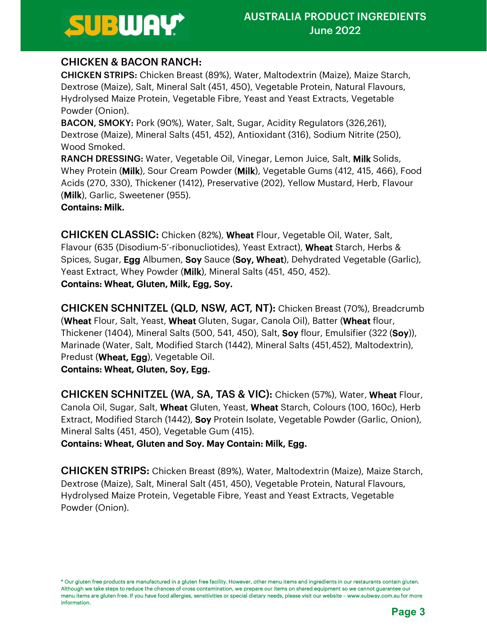## CHICKEN & BACON RANCH:

CHICKEN STRIPS: Chicken Breast (89%), Water, Maltodextrin (Maize), Maize Starch, Dextrose (Maize), Salt, Mineral Salt (451, 450), Vegetable Protein, Natural Flavours, Hydrolysed Maize Protein, Vegetable Fibre, Yeast and Yeast Extracts, Vegetable Powder (Onion).

BACON, SMOKY: Pork (90%), Water, Salt, Sugar, Acidity Regulators (326,261), Dextrose (Maize), Mineral Salts (451, 452), Antioxidant (316), Sodium Nitrite (250), Wood Smoked.

RANCH DRESSING: Water, Vegetable Oil, Vinegar, Lemon Juice, Salt, Milk Solids, Whey Protein (Milk), Sour Cream Powder (Milk), Vegetable Gums (412, 415, 466), Food Acids (270, 330), Thickener (1412), Preservative (202), Yellow Mustard, Herb, Flavour (Milk), Garlic, Sweetener (955).

### Contains: Milk.

CHICKEN CLASSIC: Chicken (82%), Wheat Flour, Vegetable Oil, Water, Salt, Flavour (635 (Disodium-5'-ribonucliotides), Yeast Extract), Wheat Starch, Herbs & Spices, Sugar, **Egg** Albumen, Soy Sauce (Soy, Wheat), Dehydrated Vegetable (Garlic), Yeast Extract, Whey Powder (Milk), Mineral Salts (451, 450, 452). Contains: Wheat, Gluten, Milk, Egg, Soy.

CHICKEN SCHNITZEL (QLD, NSW, ACT, NT): Chicken Breast (70%), Breadcrumb (Wheat Flour, Salt, Yeast, Wheat Gluten, Sugar, Canola Oil), Batter (Wheat flour, Thickener (1404), Mineral Salts (500, 541, 450), Salt, **Soy** flour, Emulsifier (322 (Soy)), Marinade (Water, Salt, Modified Starch (1442), Mineral Salts (451,452), Maltodextrin), Predust (Wheat, Egg), Vegetable Oil.

### Contains: Wheat, Gluten, Soy, Egg.

CHICKEN SCHNITZEL (WA, SA, TAS & VIC): Chicken (57%), Water, Wheat Flour, Canola Oil, Sugar, Salt, Wheat Gluten, Yeast, Wheat Starch, Colours (100, 160c), Herb Extract, Modified Starch (1442), **Soy** Protein Isolate, Vegetable Powder (Garlic, Onion), Mineral Salts (451, 450), Vegetable Gum (415).

Contains: Wheat, Gluten and Soy. May Contain: Milk, Egg.

CHICKEN STRIPS: Chicken Breast (89%), Water, Maltodextrin (Maize), Maize Starch, Dextrose (Maize), Salt, Mineral Salt (451, 450), Vegetable Protein, Natural Flavours, Hydrolysed Maize Protein, Vegetable Fibre, Yeast and Yeast Extracts, Vegetable Powder (Onion).

<sup>\*</sup> Our gluten free products are manufactured in a gluten free facility. However, other menu items and ingredients in our restaurants contain gluten. Although we take steps to reduce the chances of cross contamination, we prepare our items on shared equipment so we cannot guarantee our menu items are gluten free. If you have food allergies, sensitivities or special dietary needs, please visit our website – www.subway.com.au for more information.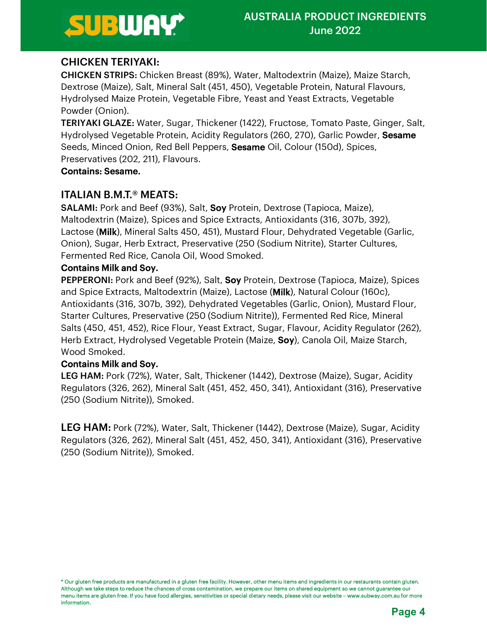## CHICKEN TERIYAKI:

CHICKEN STRIPS: Chicken Breast (89%), Water, Maltodextrin (Maize), Maize Starch, Dextrose (Maize), Salt, Mineral Salt (451, 450), Vegetable Protein, Natural Flavours, Hydrolysed Maize Protein, Vegetable Fibre, Yeast and Yeast Extracts, Vegetable Powder (Onion).

TERIYAKI GLAZE: Water, Sugar, Thickener (1422), Fructose, Tomato Paste, Ginger, Salt, Hydrolysed Vegetable Protein, Acidity Regulators (260, 270), Garlic Powder, Sesame Seeds, Minced Onion, Red Bell Peppers, **Sesame** Oil, Colour (150d), Spices, Preservatives (202, 211), Flavours.

#### Contains: Sesame.

### ITALIAN B.M.T.® MEATS:

SALAMI: Pork and Beef (93%), Salt, Soy Protein, Dextrose (Tapioca, Maize), Maltodextrin (Maize), Spices and Spice Extracts, Antioxidants (316, 307b, 392), Lactose (Milk), Mineral Salts 450, 451), Mustard Flour, Dehydrated Vegetable (Garlic, Onion), Sugar, Herb Extract, Preservative (250 (Sodium Nitrite), Starter Cultures, Fermented Red Rice, Canola Oil, Wood Smoked.

#### Contains Milk and Soy.

PEPPERONI: Pork and Beef (92%), Salt, Soy Protein, Dextrose (Tapioca, Maize), Spices and Spice Extracts, Maltodextrin (Maize), Lactose (Milk), Natural Colour (160c), Antioxidants (316, 307b, 392), Dehydrated Vegetables (Garlic, Onion), Mustard Flour, Starter Cultures, Preservative (250 (Sodium Nitrite)), Fermented Red Rice, Mineral Salts (450, 451, 452), Rice Flour, Yeast Extract, Sugar, Flavour, Acidity Regulator (262), Herb Extract, Hydrolysed Vegetable Protein (Maize, **Soy**), Canola Oil, Maize Starch, Wood Smoked.

### Contains Milk and Soy.

LEG HAM: Pork (72%), Water, Salt, Thickener (1442), Dextrose (Maize), Sugar, Acidity Regulators (326, 262), Mineral Salt (451, 452, 450, 341), Antioxidant (316), Preservative (250 (Sodium Nitrite)), Smoked.

LEG HAM: Pork (72%), Water, Salt, Thickener (1442), Dextrose (Maize), Sugar, Acidity Regulators (326, 262), Mineral Salt (451, 452, 450, 341), Antioxidant (316), Preservative (250 (Sodium Nitrite)), Smoked.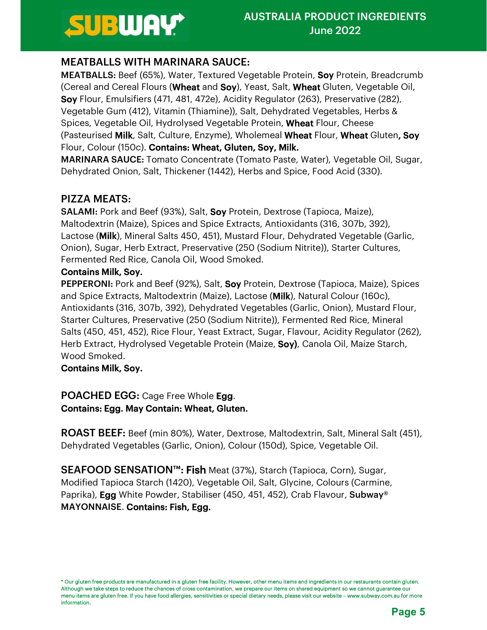## MEATBALLS WITH MARINARA SAUCE:

MEATBALLS: Beef (65%), Water, Textured Vegetable Protein, Soy Protein, Breadcrumb (Cereal and Cereal Flours (Wheat and Soy), Yeast, Salt, Wheat Gluten, Vegetable Oil, Soy Flour, Emulsifiers (471, 481, 472e), Acidity Regulator (263), Preservative (282), Vegetable Gum (412), Vitamin (Thiamine)), Salt, Dehydrated Vegetables, Herbs & Spices, Vegetable Oil, Hydrolysed Vegetable Protein, Wheat Flour, Cheese (Pasteurised Milk, Salt, Culture, Enzyme), Wholemeal Wheat Flour, Wheat Gluten, Soy Flour, Colour (150c). Contains: Wheat, Gluten, Soy, Milk.

MARINARA SAUCE: Tomato Concentrate (Tomato Paste, Water), Vegetable Oil, Sugar, Dehydrated Onion, Salt, Thickener (1442), Herbs and Spice, Food Acid (330).

### PIZZA MEATS:

SALAMI: Pork and Beef (93%), Salt, Soy Protein, Dextrose (Tapioca, Maize), Maltodextrin (Maize), Spices and Spice Extracts, Antioxidants (316, 307b, 392), Lactose (Milk), Mineral Salts 450, 451), Mustard Flour, Dehydrated Vegetable (Garlic, Onion), Sugar, Herb Extract, Preservative (250 (Sodium Nitrite)), Starter Cultures, Fermented Red Rice, Canola Oil, Wood Smoked.

### Contains Milk, Soy.

PEPPERONI: Pork and Beef (92%), Salt, Soy Protein, Dextrose (Tapioca, Maize), Spices and Spice Extracts, Maltodextrin (Maize), Lactose (Milk), Natural Colour (160c), Antioxidants (316, 307b, 392), Dehydrated Vegetables (Garlic, Onion), Mustard Flour, Starter Cultures, Preservative (250 (Sodium Nitrite)), Fermented Red Rice, Mineral Salts (450, 451, 452), Rice Flour, Yeast Extract, Sugar, Flavour, Acidity Regulator (262), Herb Extract, Hydrolysed Vegetable Protein (Maize, Soy), Canola Oil, Maize Starch, Wood Smoked.

### Contains Milk, Soy.

#### POACHED EGG: Cage Free Whole Egg. Contains: Egg. May Contain: Wheat, Gluten.

ROAST BEEF: Beef (min 80%), Water, Dextrose, Maltodextrin, Salt, Mineral Salt (451), Dehydrated Vegetables (Garlic, Onion), Colour (150d), Spice, Vegetable Oil.

SEAFOOD SENSATION<sup>™</sup>: Fish Meat (37%), Starch (Tapioca, Corn), Sugar, Modified Tapioca Starch (1420), Vegetable Oil, Salt, Glycine, Colours (Carmine, Paprika), **Egg** White Powder, Stabiliser (450, 451, 452), Crab Flavour, Subway<sup>®</sup> MAYONNAISE. Contains: Fish, Egg.

<sup>\*</sup> Our gluten free products are manufactured in a gluten free facility. However, other menu items and ingredients in our restaurants contain gluten. Although we take steps to reduce the chances of cross contamination, we prepare our items on shared equipment so we cannot guarantee our menu items are gluten free. If you have food allergies, sensitivities or special dietary needs, please visit our website – www.subway.com.au for more information.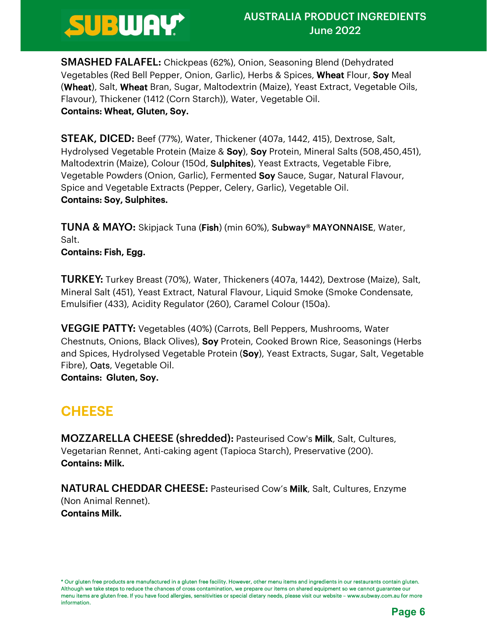

SMASHED FALAFEL: Chickpeas (62%), Onion, Seasoning Blend (Dehydrated Vegetables (Red Bell Pepper, Onion, Garlic), Herbs & Spices, Wheat Flour, Soy Meal (Wheat), Salt, Wheat Bran, Sugar, Maltodextrin (Maize), Yeast Extract, Vegetable Oils, Flavour), Thickener (1412 (Corn Starch)), Water, Vegetable Oil. Contains: Wheat, Gluten, Soy.

STEAK, DICED: Beef (77%), Water, Thickener (407a, 1442, 415), Dextrose, Salt, Hydrolysed Vegetable Protein (Maize & Soy), Soy Protein, Mineral Salts (508,450,451), Maltodextrin (Maize), Colour (150d, **Sulphites**), Yeast Extracts, Vegetable Fibre, Vegetable Powders (Onion, Garlic), Fermented Soy Sauce, Sugar, Natural Flavour, Spice and Vegetable Extracts (Pepper, Celery, Garlic), Vegetable Oil. Contains: Soy, Sulphites.

TUNA & MAYO: Skipjack Tuna (Fish) (min 60%), Subway® MAYONNAISE, Water, Salt.

Contains: Fish, Egg.

TURKEY: Turkey Breast (70%), Water, Thickeners (407a, 1442), Dextrose (Maize), Salt, Mineral Salt (451), Yeast Extract, Natural Flavour, Liquid Smoke (Smoke Condensate, Emulsifier (433), Acidity Regulator (260), Caramel Colour (150a).

VEGGIE PATTY: Vegetables (40%) (Carrots, Bell Peppers, Mushrooms, Water Chestnuts, Onions, Black Olives), Soy Protein, Cooked Brown Rice, Seasonings (Herbs and Spices, Hydrolysed Vegetable Protein (Soy), Yeast Extracts, Sugar, Salt, Vegetable Fibre), Oats, Vegetable Oil.

Contains: Gluten, Soy.

**CHEESE**<br> **MOZZARELLA CHEESE (shredded):** Pasteurised Cow's **Milk**, Salt, Cultures, Vegetarian Rennet, Anti-caking agent (Tapioca Starch), Preservative (200). Contains: Milk.

NATURAL CHEDDAR CHEESE: Pasteurised Cow's Milk, Salt, Cultures, Enzyme (Non Animal Rennet). Contains Milk.

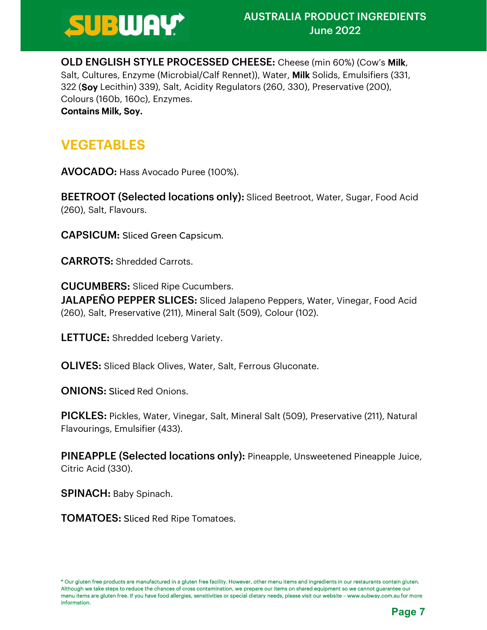

OLD ENGLISH STYLE PROCESSED CHEESE: Cheese (min 60%) (Cow's Milk, Salt, Cultures, Enzyme (Microbial/Calf Rennet)), Water, Milk Solids, Emulsifiers (331, 322 (Soy Lecithin) 339), Salt, Acidity Regulators (260, 330), Preservative (200), Colours (160b, 160c), Enzymes.

Contains Milk, Soy.

**VEGETABLES<br>AVOCADO:** Hass Avocado Puree (100%).

BEETROOT (Selected locations only): Sliced Beetroot, Water, Sugar, Food Acid (260), Salt, Flavours.

CAPSICUM: Sliced Green Capsicum.

CARROTS: Shredded Carrots.

CUCUMBERS: Sliced Ripe Cucumbers. JALAPEÑO PEPPER SLICES: Sliced Jalapeno Peppers, Water, Vinegar, Food Acid (260), Salt, Preservative (211), Mineral Salt (509), Colour (102).

LETTUCE: Shredded Iceberg Variety.

OLIVES: Sliced Black Olives, Water, Salt, Ferrous Gluconate.

ONIONS: Sliced Red Onions.

PICKLES: Pickles, Water, Vinegar, Salt, Mineral Salt (509), Preservative (211), Natural Flavourings, Emulsifier (433).

PINEAPPLE (Selected locations only): Pineapple, Unsweetened Pineapple Juice, Citric Acid (330).

SPINACH: Baby Spinach.

TOMATOES: Sliced Red Ripe Tomatoes.

<sup>\*</sup> Our gluten free products are manufactured in a gluten free facility. However, other menu items and ingredients in our restaurants contain gluten. Although we take steps to reduce the chances of cross contamination, we prepare our items on shared equipment so we cannot guarantee our menu items are gluten free. If you have food allergies, sensitivities or special dietary needs, please visit our website – www.subway.com.au for more information.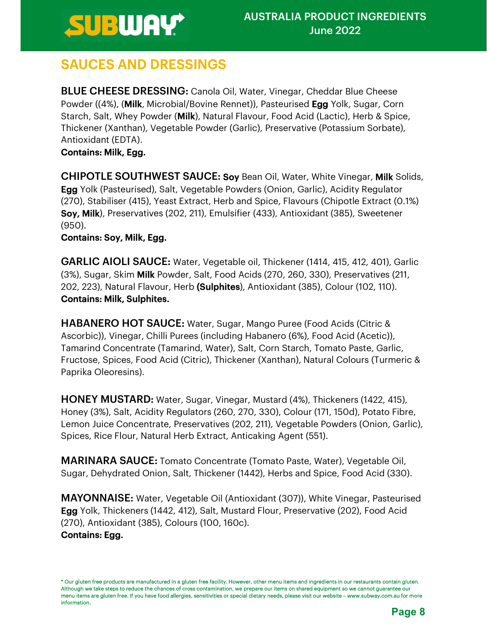**SAUCES AND DRESSINGS**<br>BLUE CHEESE DRESSING: Canola Oil, Water, Vinegar, Cheddar Blue Cheese Powder ((4%), (**Milk**, Microbial/Bovine Rennet)), Pasteurised **Egg** Yolk, Sugar, Corn Starch, Salt, Whey Powder (Milk), Natural Flavour, Food Acid (Lactic), Herb & Spice, Thickener (Xanthan), Vegetable Powder (Garlic), Preservative (Potassium Sorbate), Antioxidant (EDTA).

**Contains: Milk, Egg.<br>CHIPOTLE SOUTHWEST SAUCE: Soy** Bean Oil, Water, White Vinegar, **Milk** Solids, **Egg** Yolk (Pasteurised), Salt, Vegetable Powders (Onion, Garlic), Acidity Regulator (270), Stabiliser (415), Yeast Extract, Herb and Spice, Flavours (Chipotle Extract (0.1%) Soy, Milk), Preservatives (202, 211), Emulsifier (433), Antioxidant (385), Sweetener (950).

### Contains: Soy, Milk, Egg.

GARLIC AIOLI SAUCE: Water, Vegetable oil, Thickener (1414, 415, 412, 401), Garlic (3%), Sugar, Skim Milk Powder, Salt, Food Acids (270, 260, 330), Preservatives (211, 202, 223), Natural Flavour, Herb (Sulphites), Antioxidant (385), Colour (102, 110). Contains: Milk, Sulphites.

HABANERO HOT SAUCE: Water, Sugar, Mango Puree (Food Acids (Citric & Ascorbic)), Vinegar, Chilli Purees (including Habanero (6%), Food Acid (Acetic)), Tamarind Concentrate (Tamarind, Water), Salt, Corn Starch, Tomato Paste, Garlic, Fructose, Spices, Food Acid (Citric), Thickener (Xanthan), Natural Colours (Turmeric & Paprika Oleoresins).

HONEY MUSTARD: Water, Sugar, Vinegar, Mustard (4%), Thickeners (1422, 415), Honey (3%), Salt, Acidity Regulators (260, 270, 330), Colour (171, 150d), Potato Fibre, Lemon Juice Concentrate, Preservatives (202, 211), Vegetable Powders (Onion, Garlic), Spices, Rice Flour, Natural Herb Extract, Anticaking Agent (551).

MARINARA SAUCE: Tomato Concentrate (Tomato Paste, Water), Vegetable Oil, Sugar, Dehydrated Onion, Salt, Thickener (1442), Herbs and Spice, Food Acid (330).

MAYONNAISE: Water, Vegetable Oil (Antioxidant (307)), White Vinegar, Pasteurised Egg Yolk, Thickeners (1442, 412), Salt, Mustard Flour, Preservative (202), Food Acid (270), Antioxidant (385), Colours (100, 160c).

### Contains: Egg.

<sup>\*</sup> Our gluten free products are manufactured in a gluten free facility. However, other menu items and ingredients in our restaurants contain gluten. Although we take steps to reduce the chances of cross contamination, we prepare our items on shared equipment so we cannot guarantee our menu items are gluten free. If you have food allergies, sensitivities or special dietary needs, please visit our website – www.subway.com.au for more information.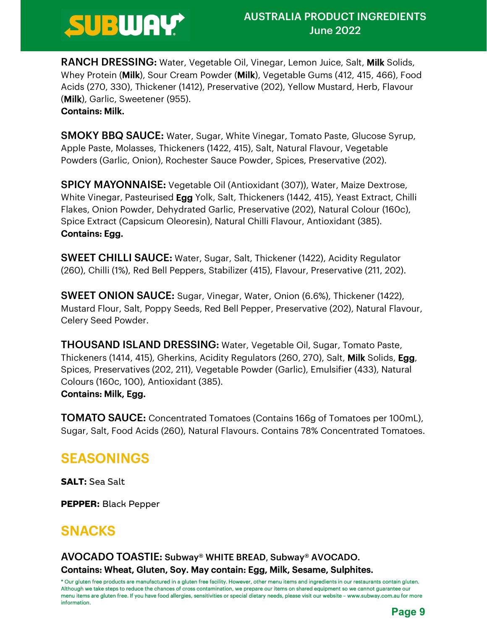

RANCH DRESSING: Water, Vegetable Oil, Vinegar, Lemon Juice, Salt, Milk Solids, Whey Protein (Milk), Sour Cream Powder (Milk), Vegetable Gums (412, 415, 466), Food Acids (270, 330), Thickener (1412), Preservative (202), Yellow Mustard, Herb, Flavour (Milk), Garlic, Sweetener (955).

#### Contains: Milk.

SMOKY BBQ SAUCE: Water, Sugar, White Vinegar, Tomato Paste, Glucose Syrup, Apple Paste, Molasses, Thickeners (1422, 415), Salt, Natural Flavour, Vegetable Powders (Garlic, Onion), Rochester Sauce Powder, Spices, Preservative (202).

SPICY MAYONNAISE: Vegetable Oil (Antioxidant (307)), Water, Maize Dextrose, White Vinegar, Pasteurised **Egg** Yolk, Salt, Thickeners (1442, 415), Yeast Extract, Chilli Flakes, Onion Powder, Dehydrated Garlic, Preservative (202), Natural Colour (160c), Spice Extract (Capsicum Oleoresin), Natural Chilli Flavour, Antioxidant (385). Contains: Egg.

SWEET CHILLI SAUCE: Water, Sugar, Salt, Thickener (1422), Acidity Regulator (260), Chilli (1%), Red Bell Peppers, Stabilizer (415), Flavour, Preservative (211, 202).

SWEET ONION SAUCE: Sugar, Vinegar, Water, Onion (6.6%), Thickener (1422), Mustard Flour, Salt, Poppy Seeds, Red Bell Pepper, Preservative (202), Natural Flavour, Celery Seed Powder.

THOUSAND ISLAND DRESSING: Water, Vegetable Oil, Sugar, Tomato Paste, Thickeners (1414, 415), Gherkins, Acidity Regulators (260, 270), Salt, **Milk** Solids, **Egg**,<br>Spices, Preservatives (202, 211), Vegetable Powder (Garlic), Emulsifier (433), Natural Colours (160c, 100), Antioxidant (385).

**Contains: Milk, Egg.**<br>**TOMATO SAUCE:** Concentrated Tomatoes (Contains 166g of Tomatoes per 100mL), Sugar, Salt, Food Acids (260), Natural Flavours. Contains 78% Concentrated Tomatoes.

## SEASONINGS

SALT: Sea Salt

PEPPER: Black Pepper

SNACKS<br>AVOCADO TOASTIE: Subway® WHITE BREAD, Subway® AVOCADO.

#### Contains: Wheat, Gluten, Soy. May contain: Egg, Milk, Sesame, Sulphites.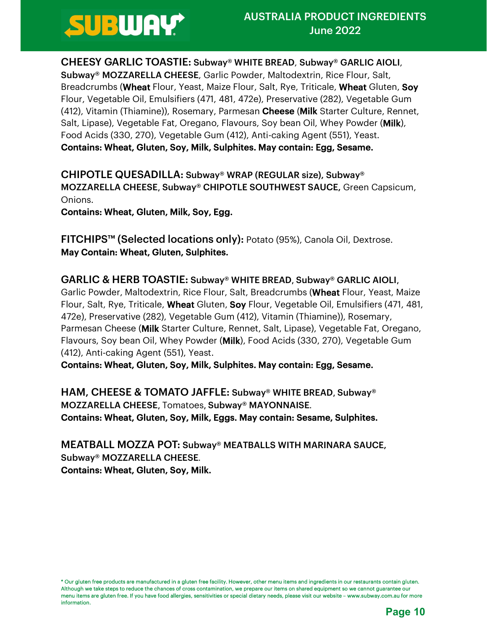CHEESY GARLIC TOASTIE: Subway® WHITE BREAD, Subway® GARLIC AIOLI, Subway® MOZZARELLA CHEESE, Garlic Powder, Maltodextrin, Rice Flour, Salt, Breadcrumbs (Wheat Flour, Yeast, Maize Flour, Salt, Rye, Triticale, Wheat Gluten, Soy Flour, Vegetable Oil, Emulsifiers (471, 481, 472e), Preservative (282), Vegetable Gum (412), Vitamin (Thiamine)), Rosemary, Parmesan Cheese (Milk Starter Culture, Rennet, Salt, Lipase), Vegetable Fat, Oregano, Flavours, Soy bean Oil, Whey Powder (**Milk**), Food Acids (330, 270), Vegetable Gum (412), Anti-caking Agent (551), Yeast. Contains: Wheat, Gluten, Soy, Milk, Sulphites. May contain: Egg, Sesame.

CHIPOTLE QUESADILLA: Subway® WRAP (REGULAR size), Subway® MOZZARELLA CHEESE, Subway® CHIPOTLE SOUTHWEST SAUCE, Green Capsicum, Onions.

Contains: Wheat, Gluten, Milk, Soy, Egg.

FITCHIPS™ (Selected locations only): Potato (95%), Canola Oil, Dextrose. May Contain: Wheat, Gluten, Sulphites.

GARLIC & HERB TOASTIE: Subway® WHITE BREAD, Subway® GARLIC AIOLI, Garlic Powder, Maltodextrin, Rice Flour, Salt, Breadcrumbs (Wheat Flour, Yeast, Maize Flour, Salt, Rye, Triticale, Wheat Gluten, Soy Flour, Vegetable Oil, Emulsifiers (471, 481, 472e), Preservative (282), Vegetable Gum (412), Vitamin (Thiamine)), Rosemary, Parmesan Cheese (Milk Starter Culture, Rennet, Salt, Lipase), Vegetable Fat, Oregano, Flavours, Soy bean Oil, Whey Powder (Milk), Food Acids (330, 270), Vegetable Gum (412), Anti-caking Agent (551), Yeast.

Contains: Wheat, Gluten, Soy, Milk, Sulphites. May contain: Egg, Sesame.

HAM, CHEESE & TOMATO JAFFLE: Subway® WHITE BREAD, Subway® MOZZARELLA CHEESE, Tomatoes, Subway® MAYONNAISE. Contains: Wheat, Gluten, Soy, Milk, Eggs. May contain: Sesame, Sulphites.

MEATBALL MOZZA POT: Subway® MEATBALLS WITH MARINARA SAUCE, Subway® MOZZARELLA CHEESE. Contains: Wheat, Gluten, Soy, Milk.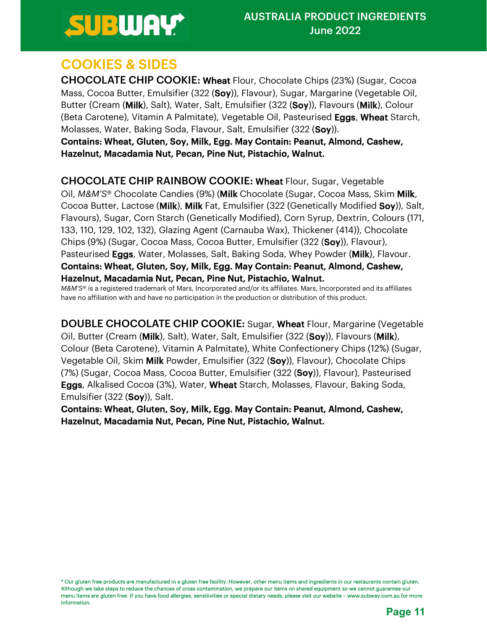**COOKIES & SIDES**<br>**CHOCOLATE CHIP COOKIE: Wheat** Flour, Chocolate Chips (23%) (Sugar, Cocoa Mass, Cocoa Butter, Emulsifier (322 (Soy)), Flavour), Sugar, Margarine (Vegetable Oil, Butter (Cream (Milk), Salt), Water, Salt, Emulsifier (322 (Soy)), Flavours (Milk), Colour (Beta Carotene), Vitamin A Palmitate), Vegetable Oil, Pasteurised Eggs, Wheat Starch, Molasses, Water, Baking Soda, Flavour, Salt, Emulsifier (322 (Soy)).

Contains: Wheat, Gluten, Soy, Milk, Egg. May Contain: Peanut, Almond, Cashew, Hazelnut, Macadamia Nut, Pecan, Pine Nut, Pistachio, Walnut.

CHOCOLATE CHIP RAINBOW COOKIE: Wheat Flour, Sugar, Vegetable Oil, M&M'S® Chocolate Candies (9%) (**Milk** Chocolate (Sugar, Cocoa Mass, Skim **Milk**,<br>Cocoa Butter, Lactose (**Milk**), **Milk** Fat, Emulsifier (322 (Genetically Modified **Soy**)), Salt, Flavours), Sugar, Corn Starch (Genetically Modified), Corn Syrup, Dextrin, Colours (171, 133, 110, 129, 102, 132), Glazing Agent (Carnauba Wax), Thickener (414)), Chocolate Chips (9%) (Sugar, Cocoa Mass, Cocoa Butter, Emulsifier (322 (Soy)), Flavour), Pasteurised **Eggs**, Water, Molasses, Salt, Baking Soda, Whey Powder (**Milk**), Flavour. Contains: Wheat, Gluten, Soy, Milk, Egg. May Contain: Peanut, Almond, Cashew, Hazelnut, Macadamia Nut, Pecan, Pine Nut, Pistachio, Walnut.

M&M'S® is a registered trademark of Mars, Incorporated and/or its affiliates. Mars, Incorporated and its affiliates have no affiliation with and have no participation in the production or distribution of this product.

DOUBLE CHOCOLATE CHIP COOKIE: Sugar, Wheat Flour, Margarine (Vegetable Oil, Butter (Cream (Milk), Salt), Water, Salt, Emulsifier (322 (Soy)), Flavours (Milk), Colour (Beta Carotene), Vitamin A Palmitate), White Confectionery Chips (12%) (Sugar, Vegetable Oil, Skim Milk Powder, Emulsifier (322 (Soy)), Flavour), Chocolate Chips (7%) (Sugar, Cocoa Mass, Cocoa Butter, Emulsifier (322 (Soy)), Flavour), Pasteurised Eggs, Alkalised Cocoa (3%), Water, Wheat Starch, Molasses, Flavour, Baking Soda, Emulsifier (322 (Soy)), Salt.

Contains: Wheat, Gluten, Soy, Milk, Egg. May Contain: Peanut, Almond, Cashew, Hazelnut, Macadamia Nut, Pecan, Pine Nut, Pistachio, Walnut.